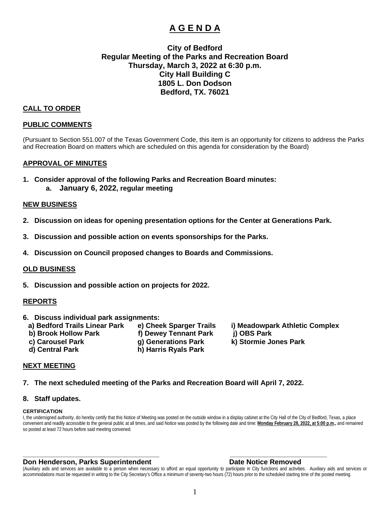# **A G E N D A**

## **City of Bedford Regular Meeting of the Parks and Recreation Board Thursday, March 3, 2022 at 6:30 p.m. City Hall Building C 1805 L. Don Dodson Bedford, TX. 76021**

### **CALL TO ORDER**

#### **PUBLIC COMMENTS**

(Pursuant to Section 551.007 of the Texas Government Code, this item is an opportunity for citizens to address the Parks and Recreation Board on matters which are scheduled on this agenda for consideration by the Board)

#### **APPROVAL OF MINUTES**

**1. Consider approval of the following Parks and Recreation Board minutes: a. January 6, 2022, regular meeting**

#### **NEW BUSINESS**

- **2. Discussion on ideas for opening presentation options for the Center at Generations Park.**
- **3. Discussion and possible action on events sponsorships for the Parks.**
- **4. Discussion on Council proposed changes to Boards and Commissions.**

#### **OLD BUSINESS**

**5. Discussion and possible action on projects for 2022.**

#### **REPORTS**

- **6. Discuss individual park assignments:**
	-
	- **b) Brook Hollow Park f) Dewey Tennant Park j) OBS Park**
		-
	- **d) Central Park h) Harris Ryals Park**
- -

#### **NEXT MEETING**

#### **7. The next scheduled meeting of the Parks and Recreation Board will April 7, 2022.**

#### **8. Staff updates.**

#### **CERTIFICATION**

I, the undersigned authority, do hereby certify that this Notice of Meeting was posted on the outside window in a display cabinet at the City Hall of the City of Bedford, Texas, a place convenient and readily accessible to the general public at all times, and said Notice was posted by the following date and time: **Monday February 28, 2022, at 5:00 p.m.,** and remained so posted at least 72 hours before said meeting convened.

#### **Don Henderson, Parks Superintendent Construction Construction Parks Date Notice Removed**

(Auxiliary aids and services are available to a person when necessary to afford an equal opportunity to participate in City functions and activities. Auxiliary aids and services or accommodations must be requested in writing to the City Secretary's Office a minimum of seventy-two hours (72) hours prior to the scheduled starting time of the posted meeting.

**\_\_\_\_\_\_\_\_\_\_\_\_\_\_\_\_\_\_\_\_\_\_\_\_\_\_\_\_\_\_\_\_\_\_\_ \_\_\_\_\_\_\_\_\_\_\_\_\_\_\_\_\_\_\_\_\_\_\_\_\_**

**a) Bedford Trails Linear Park e) Cheek Sparger Trails i) Meadowpark Athletic Complex** 

 **c) Carousel Park g) Generations Park k) Stormie Jones Park**